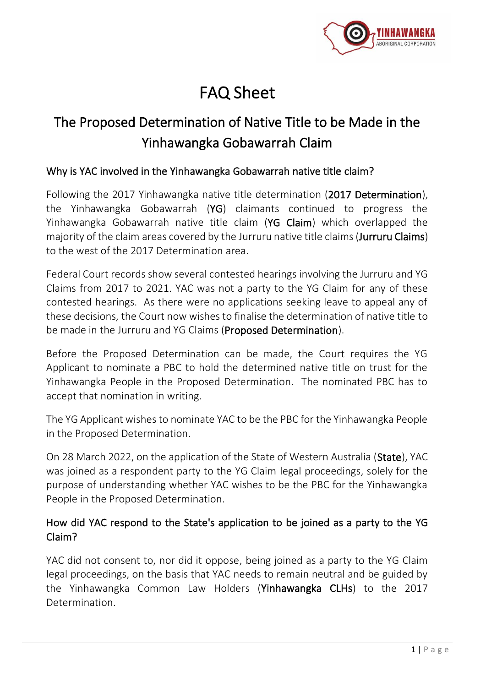

# FAQ Sheet

# The Proposed Determination of Native Title to be Made in the Yinhawangka Gobawarrah Claim

#### Why is YAC involved in the Yinhawangka Gobawarrah native title claim?

Following the 2017 Yinhawangka native title determination (2017 Determination), the Yinhawangka Gobawarrah (YG) claimants continued to progress the Yinhawangka Gobawarrah native title claim (YG Claim) which overlapped the majority of the claim areas covered by the Jurruru native title claims (Jurruru Claims) to the west of the 2017 Determination area.

Federal Court records show several contested hearings involving the Jurruru and YG Claims from 2017 to 2021. YAC was not a party to the YG Claim for any of these contested hearings. As there were no applications seeking leave to appeal any of these decisions, the Court now wishes to finalise the determination of native title to be made in the Jurruru and YG Claims (Proposed Determination).

Before the Proposed Determination can be made, the Court requires the YG Applicant to nominate a PBC to hold the determined native title on trust for the Yinhawangka People in the Proposed Determination. The nominated PBC has to accept that nomination in writing.

The YG Applicant wishes to nominate YAC to be the PBC for the Yinhawangka People in the Proposed Determination.

On 28 March 2022, on the application of the State of Western Australia (State), YAC was joined as a respondent party to the YG Claim legal proceedings, solely for the purpose of understanding whether YAC wishes to be the PBC for the Yinhawangka People in the Proposed Determination.

# How did YAC respond to the State's application to be joined as a party to the YG Claim?

YAC did not consent to, nor did it oppose, being joined as a party to the YG Claim legal proceedings, on the basis that YAC needs to remain neutral and be guided by the Yinhawangka Common Law Holders (Yinhawangka CLHs) to the 2017 Determination.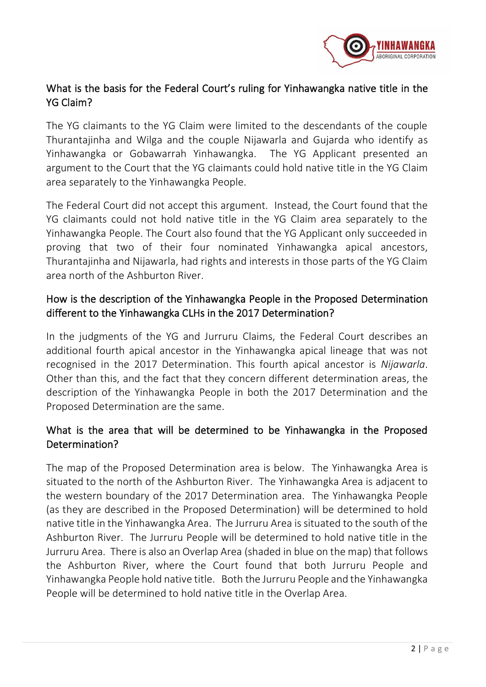

# What is the basis for the Federal Court's ruling for Yinhawangka native title in the YG Claim?

The YG claimants to the YG Claim were limited to the descendants of the couple Thurantajinha and Wilga and the couple Nijawarla and Gujarda who identify as Yinhawangka or Gobawarrah Yinhawangka. The YG Applicant presented an argument to the Court that the YG claimants could hold native title in the YG Claim area separately to the Yinhawangka People.

The Federal Court did not accept this argument. Instead, the Court found that the YG claimants could not hold native title in the YG Claim area separately to the Yinhawangka People. The Court also found that the YG Applicant only succeeded in proving that two of their four nominated Yinhawangka apical ancestors, Thurantajinha and Nijawarla, had rights and interests in those parts of the YG Claim area north of the Ashburton River.

# How is the description of the Yinhawangka People in the Proposed Determination different to the Yinhawangka CLHs in the 2017 Determination?

In the judgments of the YG and Jurruru Claims, the Federal Court describes an additional fourth apical ancestor in the Yinhawangka apical lineage that was not recognised in the 2017 Determination. This fourth apical ancestor is *Nijawarla*. Other than this, and the fact that they concern different determination areas, the description of the Yinhawangka People in both the 2017 Determination and the Proposed Determination are the same.

# What is the area that will be determined to be Yinhawangka in the Proposed Determination?

The map of the Proposed Determination area is below. The Yinhawangka Area is situated to the north of the Ashburton River. The Yinhawangka Area is adjacent to the western boundary of the 2017 Determination area. The Yinhawangka People (as they are described in the Proposed Determination) will be determined to hold native title in the Yinhawangka Area. The Jurruru Area is situated to the south of the Ashburton River. The Jurruru People will be determined to hold native title in the Jurruru Area. There is also an Overlap Area (shaded in blue on the map) that follows the Ashburton River, where the Court found that both Jurruru People and Yinhawangka People hold native title. Both the Jurruru People and the Yinhawangka People will be determined to hold native title in the Overlap Area.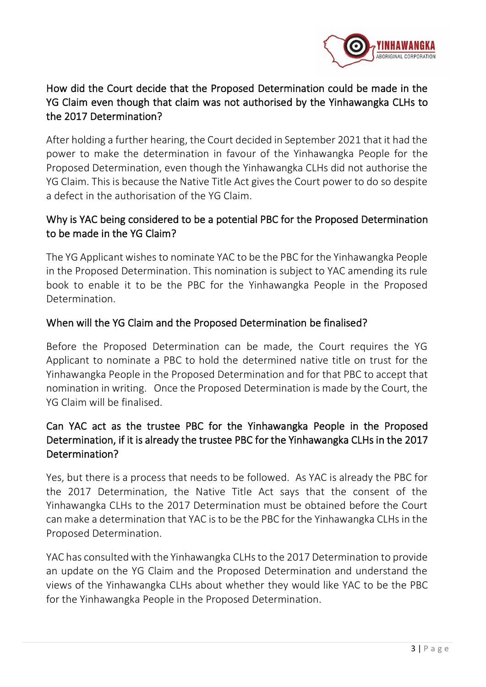

# How did the Court decide that the Proposed Determination could be made in the YG Claim even though that claim was not authorised by the Yinhawangka CLHs to the 2017 Determination?

After holding a further hearing, the Court decided in September 2021 that it had the power to make the determination in favour of the Yinhawangka People for the Proposed Determination, even though the Yinhawangka CLHs did not authorise the YG Claim. This is because the Native Title Act gives the Court power to do so despite a defect in the authorisation of the YG Claim.

# Why is YAC being considered to be a potential PBC for the Proposed Determination to be made in the YG Claim?

The YG Applicant wishes to nominate YAC to be the PBC for the Yinhawangka People in the Proposed Determination. This nomination is subject to YAC amending its rule book to enable it to be the PBC for the Yinhawangka People in the Proposed Determination.

#### When will the YG Claim and the Proposed Determination be finalised?

Before the Proposed Determination can be made, the Court requires the YG Applicant to nominate a PBC to hold the determined native title on trust for the Yinhawangka People in the Proposed Determination and for that PBC to accept that nomination in writing. Once the Proposed Determination is made by the Court, the YG Claim will be finalised.

# Can YAC act as the trustee PBC for the Yinhawangka People in the Proposed Determination, if it is already the trustee PBC for the Yinhawangka CLHs in the 2017 Determination?

Yes, but there is a process that needs to be followed. As YAC is already the PBC for the 2017 Determination, the Native Title Act says that the consent of the Yinhawangka CLHs to the 2017 Determination must be obtained before the Court can make a determination that YAC is to be the PBC for the Yinhawangka CLHs in the Proposed Determination.

YAC has consulted with the Yinhawangka CLHs to the 2017 Determination to provide an update on the YG Claim and the Proposed Determination and understand the views of the Yinhawangka CLHs about whether they would like YAC to be the PBC for the Yinhawangka People in the Proposed Determination.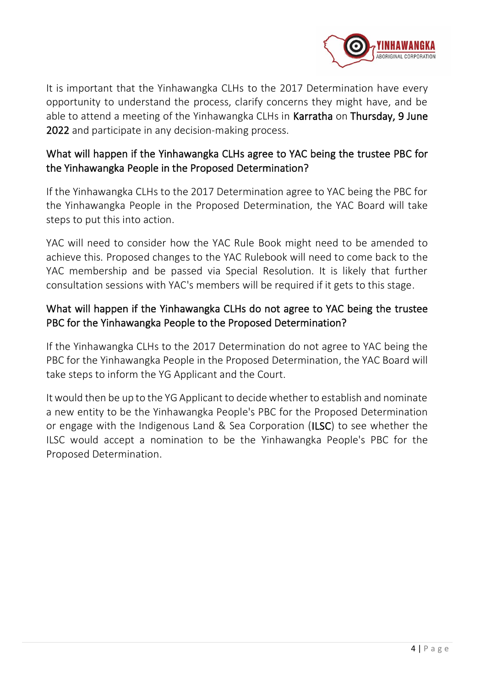

It is important that the Yinhawangka CLHs to the 2017 Determination have every opportunity to understand the process, clarify concerns they might have, and be able to attend a meeting of the Yinhawangka CLHs in Karratha on Thursday, 9 June 2022 and participate in any decision-making process.

# What will happen if the Yinhawangka CLHs agree to YAC being the trustee PBC for the Yinhawangka People in the Proposed Determination?

If the Yinhawangka CLHs to the 2017 Determination agree to YAC being the PBC for the Yinhawangka People in the Proposed Determination, the YAC Board will take steps to put this into action.

YAC will need to consider how the YAC Rule Book might need to be amended to achieve this. Proposed changes to the YAC Rulebook will need to come back to the YAC membership and be passed via Special Resolution. It is likely that further consultation sessions with YAC's members will be required if it gets to this stage.

# What will happen if the Yinhawangka CLHs do not agree to YAC being the trustee PBC for the Yinhawangka People to the Proposed Determination?

If the Yinhawangka CLHs to the 2017 Determination do not agree to YAC being the PBC for the Yinhawangka People in the Proposed Determination, the YAC Board will take steps to inform the YG Applicant and the Court.

It would then be up to the YG Applicant to decide whether to establish and nominate a new entity to be the Yinhawangka People's PBC for the Proposed Determination or engage with the Indigenous Land & Sea Corporation (ILSC) to see whether the ILSC would accept a nomination to be the Yinhawangka People's PBC for the Proposed Determination.